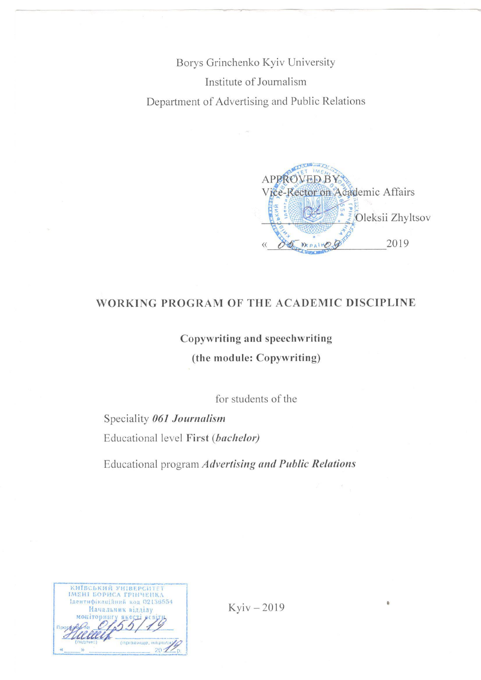Borys Grinchenko Kyiv University Institute of Journalism Department of Advertising and Public Relations

**APPROVED BY** Vice-Rector on Academic Affairs Oleksii Zhyltsov 2019

#### WORKING PROGRAM OF THE ACADEMIC DISCIPLINE

# Copywriting and speechwriting (the module: Copywriting)

for students of the

Speciality 061 Journalism Educational level First (bachelor)

Educational program Advertising and Public Relations

| КИЇВСЬКИЙ УНІВЕРСИТЕТ<br>ІМЕНІ БОРИСА ГРІНЧЕНКА |
|-------------------------------------------------|
| Ідентифікаційний код 02136554                   |
| Начальник відділу<br><b>MORITODENI</b><br>SKCCT |
|                                                 |
| (прізвище, ініцівли                             |
|                                                 |

Kyiv-2019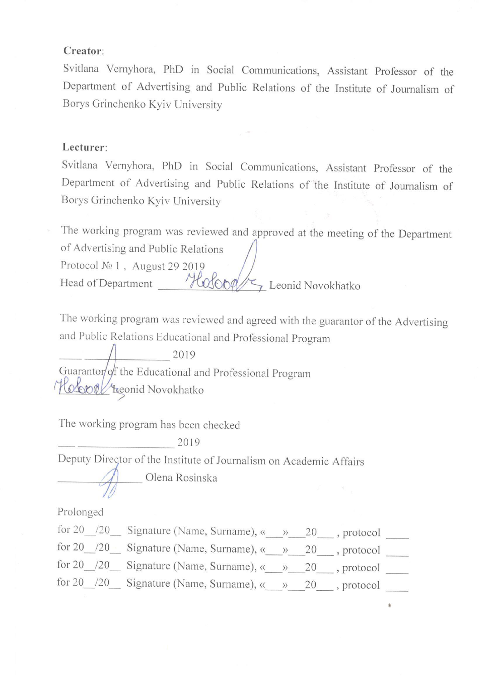#### Creator:

Svitlana Vernyhora, PhD in Social Communications, Assistant Professor of the Department of Advertising and Public Relations of the Institute of Journalism of Borys Grinchenko Kyiv University

#### Lecturer:

Svitlana Vernyhora, PhD in Social Communications, Assistant Professor of the Department of Advertising and Public Relations of the Institute of Journalism of Borys Grinchenko Kyiv University

The working program was reviewed and approved at the meeting of the Department of Advertising and Public Relations Protocol No 1, August 29 2019 Head of Department Holopa Leonid Novokhatko

The working program was reviewed and agreed with the guarantor of the Advertising and Public Relations Educational and Professional Program

2019 Guarantor/of the Educational and Professional Program Hobool teonid Novokhatko

The working program has been checked

2019

Deputy Director of the Institute of Journalism on Academic Affairs

Olena Rosinska

Prolonged

for 20  $/20$  Signature (Name, Surname), «  $\rightarrow$  20 , protocol for 20  $/20$  Signature (Name, Surname), «  $\rightarrow$  20 , protocol \_\_\_\_\_\_ for 20  $/20$  Signature (Name, Surname), «  $\rightarrow$  20 , protocol \_\_\_\_\_\_ for 20 /20 Signature (Name, Surname),  $\frac{x}{20}$ , protocol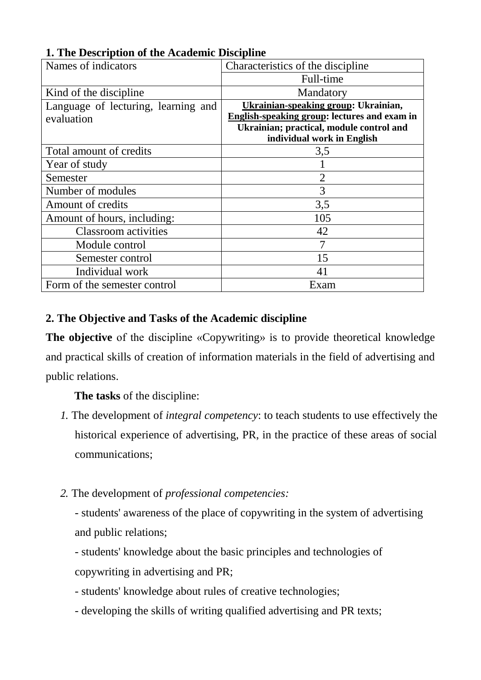| Names of indicators                 | Characteristics of the discipline            |
|-------------------------------------|----------------------------------------------|
|                                     | Full-time                                    |
| Kind of the discipline              | Mandatory                                    |
| Language of lecturing, learning and | Ukrainian-speaking group: Ukrainian,         |
| evaluation                          | English-speaking group: lectures and exam in |
|                                     | Ukrainian; practical, module control and     |
|                                     | individual work in English                   |
| Total amount of credits             | 3,5                                          |
| Year of study                       |                                              |
| Semester                            | $\overline{2}$                               |
| Number of modules                   | 3                                            |
| Amount of credits                   | 3,5                                          |
| Amount of hours, including:         | 105                                          |
| <b>Classroom</b> activities         | 42                                           |
| Module control                      |                                              |
| Semester control                    | 15                                           |
| Individual work                     | 41                                           |
| Form of the semester control        | Exam                                         |

# **1. The Description of the Academic Discipline**

# **2. The Objective and Tasks of the Academic discipline**

**The objective** of the discipline «Copywriting» is to provide theoretical knowledge and practical skills of creation of information materials in the field of advertising and public relations.

**The tasks** of the discipline:

- *1.* The development of *integral competency*: to teach students to use effectively the historical experience of advertising, PR, in the practice of these areas of social communications;
- *2.* The development of *professional competencies:*

- students' awareness of the place of copywriting in the system of advertising and public relations;

- students' knowledge about the basic principles and technologies of copywriting in advertising and PR;

- students' knowledge about rules of creative technologies;

- developing the skills of writing qualified advertising and PR texts;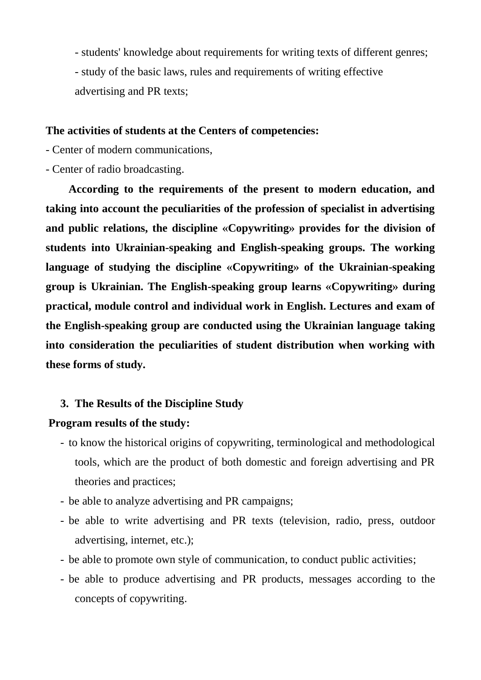- students' knowledge about requirements for writing texts of different genres; - study of the basic laws, rules and requirements of writing effective advertising and PR texts;

#### **The activities of students at the Centers of competencies:**

- Center of modern communications,

- Center of radio broadcasting.

**According to the requirements of the present to modern education, and taking into account the peculiarities of the profession of specialist in advertising and public relations, the discipline «Copywriting» provides for the division of students into Ukrainian-speaking and English-speaking groups. The working language of studying the discipline «Copywriting» of the Ukrainian-speaking group is Ukrainian. The English-speaking group learns «Copywriting» during practical, module control and individual work in English. Lectures and exam of the English-speaking group are conducted using the Ukrainian language taking into consideration the peculiarities of student distribution when working with these forms of study.**

#### **3. The Results of the Discipline Study**

# **Program results of the study:**

- to know the historical origins of copywriting, terminological and methodological tools, which are the product of both domestic and foreign advertising and PR theories and practices;
- be able to analyze advertising and PR campaigns;
- be able to write advertising and PR texts (television, radio, press, outdoor advertising, internet, etc.);
- be able to promote own style of communication, to conduct public activities;
- be able to produce advertising and PR products, messages according to the concepts of copywriting.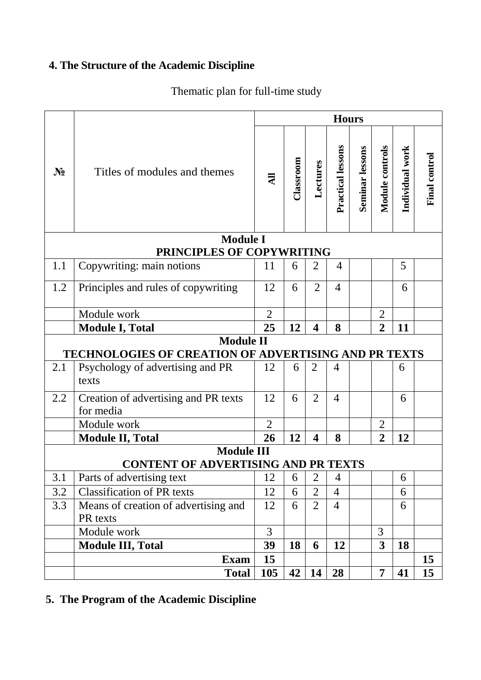# **4. The Structure of the Academic Discipline**

# Thematic plan for full-time study

|       |                                                                                                                     | <b>Hours</b>   |           |                         |                   |                 |                         |                 |                      |
|-------|---------------------------------------------------------------------------------------------------------------------|----------------|-----------|-------------------------|-------------------|-----------------|-------------------------|-----------------|----------------------|
| $N_2$ | Titles of modules and themes                                                                                        | $\overline{a}$ | Classroom | Lectures                | Practical lessons | Seminar lessons | Module controls         | Individual work | <b>Final control</b> |
|       | <b>Module I</b><br>PRINCIPLES OF COPYWRITING                                                                        |                |           |                         |                   |                 |                         |                 |                      |
| 1.1   | Copywriting: main notions                                                                                           | 11             | 6         | 2                       | 4                 |                 |                         | 5               |                      |
|       |                                                                                                                     |                |           |                         |                   |                 |                         |                 |                      |
| 1.2   | Principles and rules of copywriting                                                                                 | 12             | 6         | $\overline{2}$          | $\overline{4}$    |                 |                         | 6               |                      |
|       | Module work                                                                                                         | $\overline{2}$ |           |                         |                   |                 | $\overline{2}$          |                 |                      |
|       | <b>Module I, Total</b>                                                                                              | 25             | 12        | $\overline{\mathbf{4}}$ | 8                 |                 | $\overline{2}$          | 11              |                      |
| 2.1   | <b>Module II</b><br><b>TECHNOLOGIES OF CREATION OF ADVERTISING AND PR TEXTS</b><br>Psychology of advertising and PR | 12             | 6         | 2                       | 4                 |                 |                         | 6               |                      |
|       | texts                                                                                                               |                |           |                         |                   |                 |                         |                 |                      |
| 2.2   | Creation of advertising and PR texts<br>for media                                                                   | 12             | 6         | $\overline{2}$          | $\overline{4}$    |                 |                         | 6               |                      |
|       | Module work                                                                                                         | $\overline{2}$ |           |                         |                   |                 | $\overline{2}$          |                 |                      |
|       | <b>Module II, Total</b>                                                                                             | 26             | 12        | $\overline{\mathbf{4}}$ | 8                 |                 | $\overline{2}$          | 12              |                      |
|       | <b>Module III</b><br><b>CONTENT OF ADVERTISING AND PR TEXTS</b>                                                     |                |           |                         |                   |                 |                         |                 |                      |
| 3.1   | Parts of advertising text                                                                                           | 12             | 6         | $\overline{2}$          | $\overline{4}$    |                 |                         | 6               |                      |
| 3.2   | <b>Classification of PR texts</b>                                                                                   | 12             | 6         | $\overline{2}$          | $\overline{4}$    |                 |                         | 6               |                      |
| 3.3   | Means of creation of advertising and                                                                                | 12             | 6         | $\overline{2}$          | $\overline{4}$    |                 |                         | 6               |                      |
|       | PR texts                                                                                                            |                |           |                         |                   |                 |                         |                 |                      |
|       | Module work                                                                                                         | $\overline{3}$ |           |                         |                   |                 | 3                       |                 |                      |
|       | <b>Module III, Total</b>                                                                                            | 39             | 18        | 6                       | 12                |                 | $\overline{\mathbf{3}}$ | 18              |                      |
|       | <b>Exam</b>                                                                                                         | 15             |           |                         |                   |                 |                         |                 | 15                   |
|       | <b>Total</b>                                                                                                        | 105            | 42        | 14                      | 28                |                 | $\overline{7}$          | 41              | 15                   |

# **5. The Program of the Academic Discipline**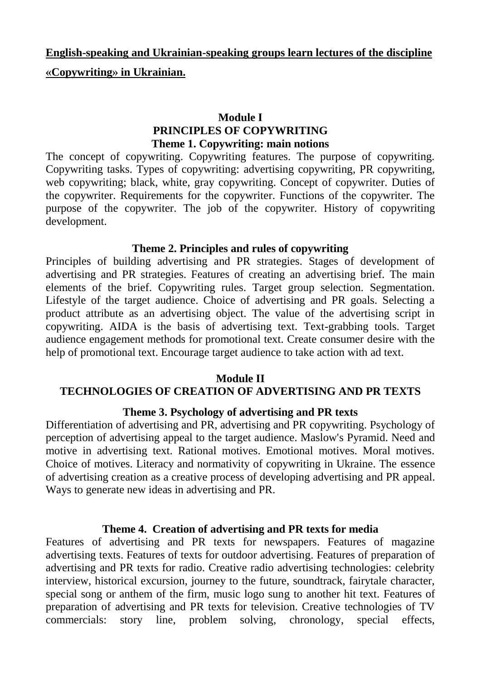# **English-speaking and Ukrainian-speaking groups learn lectures of the discipline**

## **«Copywriting» in Ukrainian.**

## **Module І PRINCIPLES OF COPYWRITING Theme 1. Copywriting: main notions**

The concept of copywriting. Copywriting features. The purpose of copywriting. Copywriting tasks. Types of copywriting: advertising copywriting, PR copywriting, web copywriting; black, white, gray copywriting. Concept of copywriter. Duties of the copywriter. Requirements for the copywriter. Functions of the copywriter. The purpose of the copywriter. The job of the copywriter. History of copywriting development.

## **Theme 2. Principles and rules of copywriting**

Principles of building advertising and PR strategies. Stages of development of advertising and PR strategies. Features of creating an advertising brief. The main elements of the brief. Copywriting rules. Target group selection. Segmentation. Lifestyle of the target audience. Choice of advertising and PR goals. Selecting a product attribute as an advertising object. The value of the advertising script in copywriting. AIDA is the basis of advertising text. Text-grabbing tools. Target audience engagement methods for promotional text. Create consumer desire with the help of promotional text. Encourage target audience to take action with ad text.

#### **Module ІI**

## **TECHNOLOGIES OF CREATION OF ADVERTISING AND PR TEXTS**

## **Theme 3. Psychology of advertising and PR texts**

Differentiation of advertising and PR, advertising and PR copywriting. Psychology of perception of advertising appeal to the target audience. Maslow's Pyramid. Need and motive in advertising text. Rational motives. Emotional motives. Moral motives. Choice of motives. Literacy and normativity of copywriting in Ukraine. The essence of advertising creation as a creative process of developing advertising and PR appeal. Ways to generate new ideas in advertising and PR.

#### **Theme 4. Creation of advertising and PR texts for media**

Features of advertising and PR texts for newspapers. Features of magazine advertising texts. Features of texts for outdoor advertising. Features of preparation of advertising and PR texts for radio. Creative radio advertising technologies: celebrity interview, historical excursion, journey to the future, soundtrack, fairytale character, special song or anthem of the firm, music logo sung to another hit text. Features of preparation of advertising and PR texts for television. Creative technologies of TV commercials: story line, problem solving, chronology, special effects,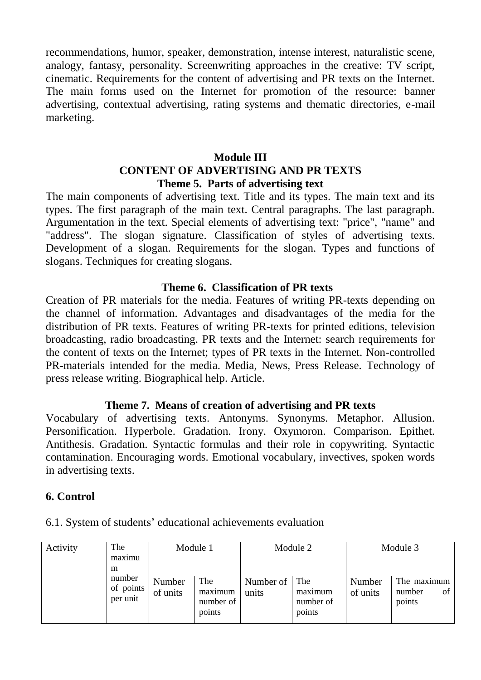recommendations, humor, speaker, demonstration, intense interest, naturalistic scene, analogy, fantasy, personality. Screenwriting approaches in the creative: TV script, cinematic. Requirements for the content of advertising and PR texts on the Internet. The main forms used on the Internet for promotion of the resource: banner advertising, contextual advertising, rating systems and thematic directories, e-mail marketing.

# **Module ІІІ CONTENT OF ADVERTISING AND PR TEXTS Theme 5. Parts of advertising text**

The main components of advertising text. Title and its types. The main text and its types. The first paragraph of the main text. Central paragraphs. The last paragraph. Argumentation in the text. Special elements of advertising text: "price", "name" and "address". The slogan signature. Classification of styles of advertising texts. Development of a slogan. Requirements for the slogan. Types and functions of slogans. Techniques for creating slogans.

## **Theme 6. Classification of PR texts**

Creation of PR materials for the media. Features of writing PR-texts depending on the channel of information. Advantages and disadvantages of the media for the distribution of PR texts. Features of writing PR-texts for printed editions, television broadcasting, radio broadcasting. PR texts and the Internet: search requirements for the content of texts on the Internet; types of PR texts in the Internet. Non-controlled PR-materials intended for the media. Media, News, Press Release. Technology of press release writing. Biographical help. Article.

#### **Theme 7. Means of creation of advertising and PR texts**

Vocabulary of advertising texts. Antonyms. Synonyms. Metaphor. Allusion. Personification. Hyperbole. Gradation. Irony. Oxymoron. Comparison. Epithet. Antithesis. Gradation. Syntactic formulas and their role in copywriting. Syntactic contamination. Encouraging words. Emotional vocabulary, invectives, spoken words in advertising texts.

## **6. Control**

| Activity | The<br>maximu | Module 1 |           |           | Module 2  |          | Module 3     |
|----------|---------------|----------|-----------|-----------|-----------|----------|--------------|
|          | m             |          |           |           |           |          |              |
|          | number        | Number   | The       | Number of | The       | Number   | The maximum  |
|          | of points     | of units | maximum   | units     | maximum   | of units | number<br>ΟÌ |
|          | per unit      |          | number of |           | number of |          | points       |
|          |               |          | points    |           | points    |          |              |

6.1. System of students' educational achievements evaluation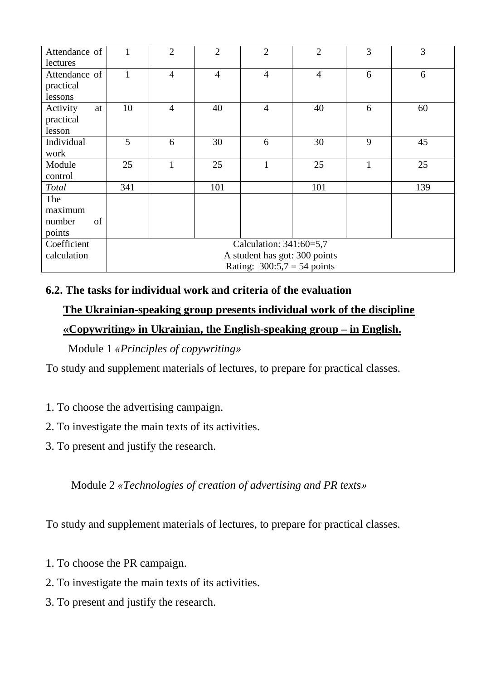| Attendance of<br>lectures                | 1                                                                                         | $\overline{2}$ | $\overline{2}$ | $\overline{2}$ | $\overline{2}$ | 3 | 3   |
|------------------------------------------|-------------------------------------------------------------------------------------------|----------------|----------------|----------------|----------------|---|-----|
| Attendance of<br>practical<br>lessons    | $\mathbf{1}$                                                                              | $\overline{4}$ | $\overline{4}$ | $\overline{4}$ | $\overline{4}$ | 6 | 6   |
| Activity<br>at<br>practical<br>lesson    | 10                                                                                        | $\overline{4}$ | 40             | $\overline{4}$ | 40             | 6 | 60  |
| Individual<br>work                       | 5                                                                                         | 6              | 30             | 6              | 30             | 9 | 45  |
| Module<br>control                        | 25                                                                                        | $\mathbf{1}$   | 25             | $\mathbf{1}$   | 25             | 1 | 25  |
| <b>Total</b>                             | 341                                                                                       |                | 101            |                | 101            |   | 139 |
| The<br>maximum<br>of<br>number<br>points |                                                                                           |                |                |                |                |   |     |
| Coefficient<br>calculation               | Calculation: 341:60=5,7<br>A student has got: 300 points<br>Rating: $300:5,7 = 54$ points |                |                |                |                |   |     |

# **6.2. The tasks for individual work and criteria of the evaluation**

# **The Ukrainian-speaking group presents individual work of the discipline «Copywriting» in Ukrainian, the English-speaking group – in English.**

Module 1 *«Principles of copywriting»*

To study and supplement materials of lectures, to prepare for practical classes.

- 1. To choose the advertising campaign.
- 2. To investigate the main texts of its activities.
- 3. To present and justify the research.

Module 2 *«Technologies of creation of advertising and PR texts»*

To study and supplement materials of lectures, to prepare for practical classes.

- 1. To choose the PR campaign.
- 2. To investigate the main texts of its activities.
- 3. To present and justify the research.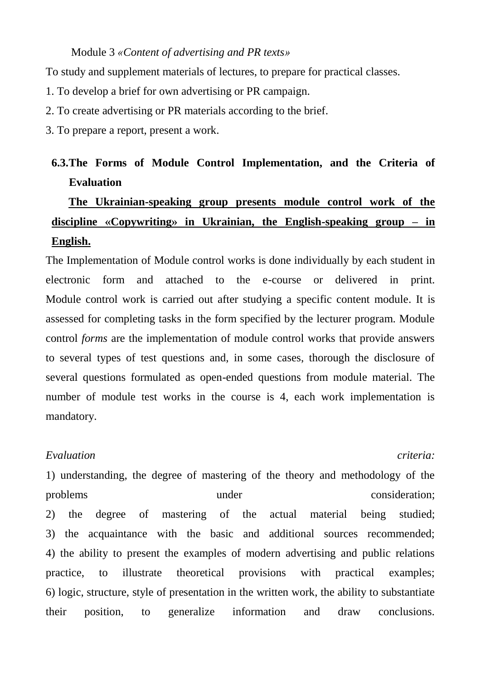#### Module 3 *«Content of advertising and PR texts»*

To study and supplement materials of lectures, to prepare for practical classes.

- 1. To develop a brief for own advertising or PR campaign.
- 2. To create advertising or PR materials according to the brief.
- 3. To prepare a report, present a work.

# **6.3.The Forms of Module Control Implementation, and the Criteria of Evaluation**

# **The Ukrainian-speaking group presents module control work of the discipline «Copywriting» in Ukrainian, the English-speaking group – in English.**

The Implementation of Module control works is done individually by each student in electronic form and attached to the e-course or delivered in print. Module control work is carried out after studying a specific content module. It is assessed for completing tasks in the form specified by the lecturer program. Module control *forms* are the implementation of module control works that provide answers to several types of test questions and, in some cases, thorough the disclosure of several questions formulated as open-ended questions from module material. The number of module test works in the course is 4, each work implementation is mandatory.

#### *Evaluation criteria:*

1) understanding, the degree of mastering of the theory and methodology of the problems under consideration; 2) the degree of mastering of the actual material being studied; 3) the acquaintance with the basic and additional sources recommended; 4) the ability to present the examples of modern advertising and public relations practice, to illustrate theoretical provisions with practical examples; 6) logic, structure, style of presentation in the written work, the ability to substantiate their position, to generalize information and draw conclusions.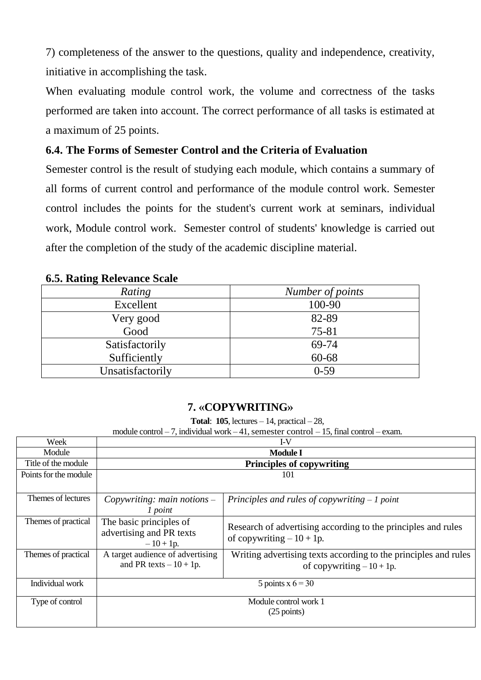7) completeness of the answer to the questions, quality and independence, creativity, initiative in accomplishing the task.

When evaluating module control work, the volume and correctness of the tasks performed are taken into account. The correct performance of all tasks is estimated at a maximum of 25 points.

# **6.4. The Forms of Semester Control and the Criteria of Evaluation**

Semester control is the result of studying each module, which contains a summary of all forms of current control and performance of the module control work. Semester control includes the points for the student's current work at seminars, individual work, Module control work. Semester control of students' knowledge is carried out after the completion of the study of the academic discipline material.

| $\cdots$         |                  |
|------------------|------------------|
| Rating           | Number of points |
| Excellent        | 100-90           |
| Very good        | 82-89            |
| Good             | 75-81            |
| Satisfactorily   | 69-74            |
| Sufficiently     | 60-68            |
| Unsatisfactorily | $0-59$           |

## **6.5. Rating Relevance Scale**

## **7. «COPYWRITING»**

**Total**: **105**, lectures – 14, practical – 28,

module control – 7, individual work – 41, semester control – 15, final control – exam.

| Week                  |                                                                  | $I-V$                                                                                        |
|-----------------------|------------------------------------------------------------------|----------------------------------------------------------------------------------------------|
| Module                |                                                                  | <b>Module I</b>                                                                              |
| Title of the module   |                                                                  | <b>Principles of copywriting</b>                                                             |
| Points for the module |                                                                  | 101                                                                                          |
|                       |                                                                  |                                                                                              |
| Themes of lectures    | Copywriting: main notions $-$<br>1 point                         | Principles and rules of copywriting $-1$ point                                               |
| Themes of practical   | The basic principles of<br>advertising and PR texts<br>$-10+1p.$ | Research of advertising according to the principles and rules<br>of copywriting $-10+1p$ .   |
| Themes of practical   | A target audience of advertising<br>and PR texts $-10+1p$ .      | Writing advertising texts according to the principles and rules<br>of copywriting $-10+1p$ . |
| Individual work       |                                                                  | 5 points $x 6 = 30$                                                                          |
| Type of control       |                                                                  | Module control work 1<br>$(25$ points)                                                       |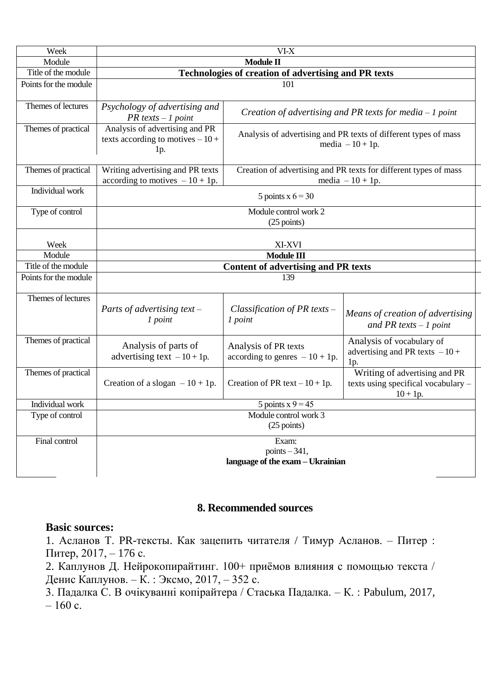| Week                  | $VI-X$                                                                     |                                                                                     |                                                                                        |  |  |  |  |
|-----------------------|----------------------------------------------------------------------------|-------------------------------------------------------------------------------------|----------------------------------------------------------------------------------------|--|--|--|--|
| Module                | Module II                                                                  |                                                                                     |                                                                                        |  |  |  |  |
| Title of the module   |                                                                            | Technologies of creation of advertising and PR texts                                |                                                                                        |  |  |  |  |
| Points for the module |                                                                            | 101                                                                                 |                                                                                        |  |  |  |  |
| Themes of lectures    | Psychology of advertising and<br>$PR$ texts $-1$ point                     |                                                                                     | Creation of advertising and PR texts for media $-1$ point                              |  |  |  |  |
| Themes of practical   | Analysis of advertising and PR<br>texts according to motives $-10+$<br>1p. | Analysis of advertising and PR texts of different types of mass<br>media $-10+1p$ . |                                                                                        |  |  |  |  |
| Themes of practical   | Writing advertising and PR texts<br>according to motives $-10 + 1p$ .      |                                                                                     | Creation of advertising and PR texts for different types of mass<br>media $-10 + 1p$ . |  |  |  |  |
| Individual work       |                                                                            | 5 points $x 6 = 30$                                                                 |                                                                                        |  |  |  |  |
| Type of control       | Module control work 2<br>$(25$ points)                                     |                                                                                     |                                                                                        |  |  |  |  |
| Week                  | XI-XVI                                                                     |                                                                                     |                                                                                        |  |  |  |  |
| Module                |                                                                            | Module III                                                                          |                                                                                        |  |  |  |  |
| Title of the module   |                                                                            | <b>Content of advertising and PR texts</b>                                          |                                                                                        |  |  |  |  |
| Points for the module | 139                                                                        |                                                                                     |                                                                                        |  |  |  |  |
| Themes of lectures    | Parts of advertising text $-$<br>1 point                                   | Classification of PR texts $-$<br>1 point                                           | Means of creation of advertising<br>and PR texts $-1$ point                            |  |  |  |  |
| Themes of practical   | Analysis of parts of<br>advertising text $-10+1p$ .                        | Analysis of PR texts<br>according to genres $-10 + 1p$ .                            | Analysis of vocabulary of<br>advertising and PR texts $-10+$<br>1p.                    |  |  |  |  |
| Themes of practical   | Creation of a slogan $-10 + 1p$ .                                          | Creation of PR text $-10+1p$ .                                                      | Writing of advertising and PR<br>texts using specifical vocabulary -<br>$10 + 1p$ .    |  |  |  |  |
| Individual work       | 5 points $x = 9$ = 45                                                      |                                                                                     |                                                                                        |  |  |  |  |
| Type of control       | Module control work 3<br>$(25$ points)                                     |                                                                                     |                                                                                        |  |  |  |  |
| Final control         | Exam:<br>points $-341$ ,<br>language of the exam - Ukrainian               |                                                                                     |                                                                                        |  |  |  |  |

## **8. Recommended sources**

#### **Basic sources:**

1. Асланов Т. PR-тексты. Как зацепить читателя / Тимур Асланов. – Питер : Питер, 2017, – 176 с.

2. Каплунов Д. Нейрокопирайтинг. 100+ приёмов влияния с помощью текста / Денис Каплунов. – К. : Эксмо, 2017, – 352 с.

3. Падалка С. В очікуванні копірайтера / Стаська Падалка. – К. : Pabulum, 2017,  $-160$  c.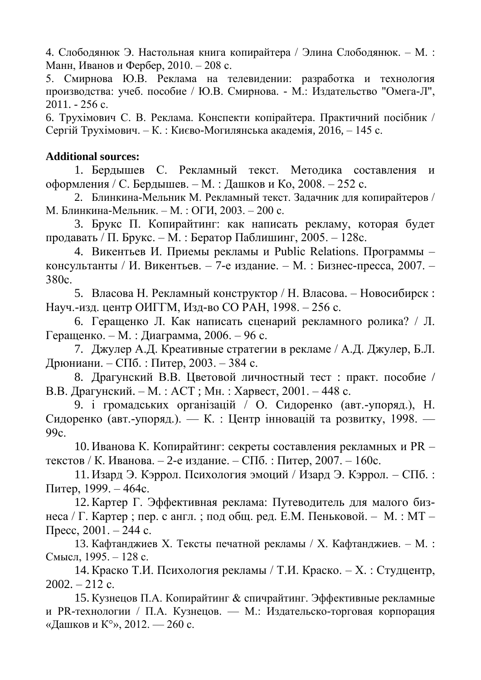4. Слободянюк Э. Настольная книга копирайтера / Элина Слободянюк. – М. : Манн, Иванов и Фербер, 2010. – 208 с.

5. Смирнова Ю.В. Реклама на телевидении: разработка и технология производства: учеб. пособие / Ю.В. Смирнова. - М.: Издательство "Омега-Л", 2011. - 256 с.

6. Трухімович С. В. Реклама. Конспекти копірайтера. Практичний посібник / Сергій Трухімович. – К. : Києво-Могилянська академія, 2016, – 145 с.

# **Additional sources:**

1. Бердышев С. Рекламный текст. Методика составления и оформления / С. Бердышев. – М. : Дашков и Ко, 2008. – 252 с.

2. Блинкина-Мельник М. Рекламный текст. Задачник для копирайтеров / М. Блинкина-Мельник. – М. : ОГИ, 2003. – 200 с.

3. Брукс П. Копирайтинг: как написать рекламу, которая будет продавать / П. Брукс. – М. : Бератор Паблишинг, 2005. – 128с.

4. Викентьев И. Приемы рекламы и Public Relations. Программы – консультанты / И. Викентьев. – 7-е издание. – М. : Бизнес-пресса, 2007. – 380с.

5. Власова Н. Рекламный конструктор / Н. Власова. – Новосибирск : Науч.-изд. центр ОИГГМ, Изд-во СО РАН, 1998. – 256 с.

6. Геращенко Л. Как написать сценарий рекламного ролика? / Л. Геращенко. – М. : Диаграмма, 2006. – 96 с.

7. Джулер А.Д. Креативные стратегии в рекламе / А.Д. Джулер, Б.Л. Дрюниани. – СПб. : Питер, 2003. – 384 с.

8. Драгунский В.В. Цветовой личностный тест : практ. пособие / В.В. Драгунский. – М. : АСТ ; Мн. : Харвест, 2001. – 448 с.

9. і громадських організацій / О. Сидоренко (авт.-упоряд.), Н. Сидоренко (авт.-упоряд.). — К. : Центр інновацій та розвитку, 1998. — 99с.

10. Иванова К. Копирайтинг: секреты составления рекламных и PR – текстов / К. Иванова. – 2-е издание. – СПб. : Питер, 2007. – 160с.

11. Изард Э. Кэррол. Психология эмоций / Изард Э. Кэррол. – СПб. : Питер, 1999. – 464с.

12.Картер Г. Эффективная реклама: Путеводитель для малого бизнеса / Г. Картер ; пер. с англ. ; под общ. ред. Е.М. Пеньковой. – М. : МТ – Пресс, 2001. – 244 с.

13. Кафтанджиев Х. Тексты печатной рекламы / Х. Кафтанджиев. – М. : Смысл, 1995. – 128 с.

14.Краско Т.И. Психология рекламы / Т.И. Краско. – Х. : Студцентр,  $2002. - 212$  c.

15. Кузнецов П.А. Копирайтинг & спичрайтинг. Эффективные рекламные и PR-технологии / П.А. Кузнецов. — М.: Издательско-торговая корпорация «Дашков и К°», 2012. — 260 с.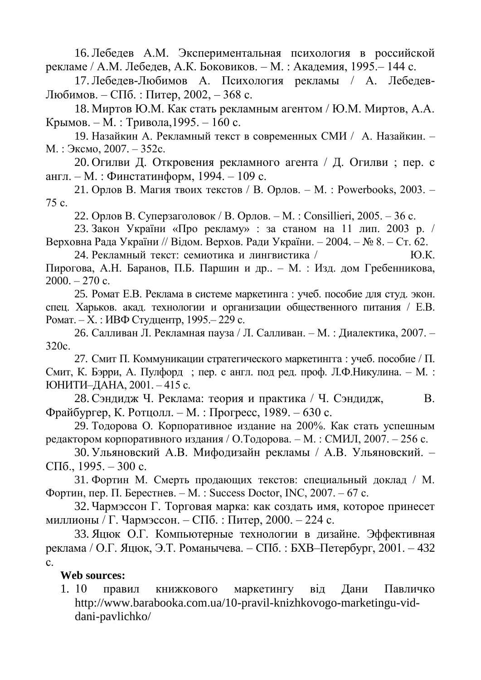16.Лебедев А.М. Экспериментальная психология в российской рекламе / А.М. Лебедев, А.К. Боковиков. – М. : Академия, 1995.– 144 с.

17.Лебедев-Любимов А. Психология рекламы / А. Лебедев-Любимов. – СПб. : Питер, 2002, – 368 с.

18. Миртов Ю.М. Как стать рекламным агентом / Ю.М. Миртов, А.А. Крымов. – М. : Тривола,1995. – 160 с.

19. Назайкин А. Рекламный текст в современных СМИ / А. Назайкин. – М. : Эксмо, 2007. – 352с.

20. Огилви Д. Откровения рекламного агента / Д. Огилви ; пер. с англ. – М. : Финстатинформ, 1994. – 109 с.

21. Орлов В. Магия твоих текстов / В. Орлов. – М. : Powerbooks, 2003. – 75 с.

22. Орлов В. Суперзаголовок / В. Орлов. – М. : Consillieri, 2005. – 36 с.

23. Закон України «Про рекламу» : за станом на 11 лип. 2003 р. / Верховна Рада України // Відом. Верхов. Ради України. – 2004. – № 8. – Ст. 62.

24. Рекламный текст: семиотика и лингвистика / Ю.К. Пирогова, А.Н. Баранов, П.Б. Паршин и др.. – М. : Изд. дом Гребенникова,  $2000. - 270$  c.

25. Ромат Е.В. Реклама в системе маркетинга : учеб. пособие для студ. экон. спец. Харьков. акад. технологии и организации общественного питания / Е.В. Ромат. – Х. : ИВФ Студцентр, 1995.– 229 с.

26. Салливан Л. Рекламная пауза / Л. Салливан. – М. : Диалектика, 2007. – 320с.

27. Смит П. Коммуникации стратегического маркетингга : учеб. пособие / П. Смит, К. Бэрри, А. Пулфорд ; пер. с англ. под ред. проф. Л.Ф.Никулина. – М. : ЮНИТИ–ДАНА, 2001. – 415 с.

28. Сэндидж Ч. Реклама: теория и практика / Ч. Сэндидж, В. Фрайбургер, К. Ротцолл. – М. : Прогресс, 1989. – 630 с.

29. Тодорова О. Корпоративное издание на 200%. Как стать успешным редактором корпоративного издания / О.Тодорова. – М. : СМИЛ, 2007. – 256 с.

30. Ульяновский А.В. Мифодизайн рекламы / А.В. Ульяновский. – СПб., 1995. – 300 с.

31. Фортин М. Смерть продающих текстов: специальный доклад / М. Фортин, пер. П. Берестнев. – М. : Success Doctor, INC, 2007. – 67 с.

32. Чармэссон Г. Торговая марка: как создать имя, которое принесет миллионы / Г. Чармэссон. – СПб. : Питер, 2000. – 224 с.

33. Яцюк О.Г. Компьютерные технологии в дизайне. Эффективная реклама / О.Г. Яцюк, Э.Т. Романычева. – СПб. : БХВ–Петербург, 2001. – 432 с.

**Web sources:**

1. 10 правил книжкового маркетингу від Дани Павличко http://www.barabooka.com.ua/10-pravil-knizhkovogo-marketingu-viddani-pavlichko/